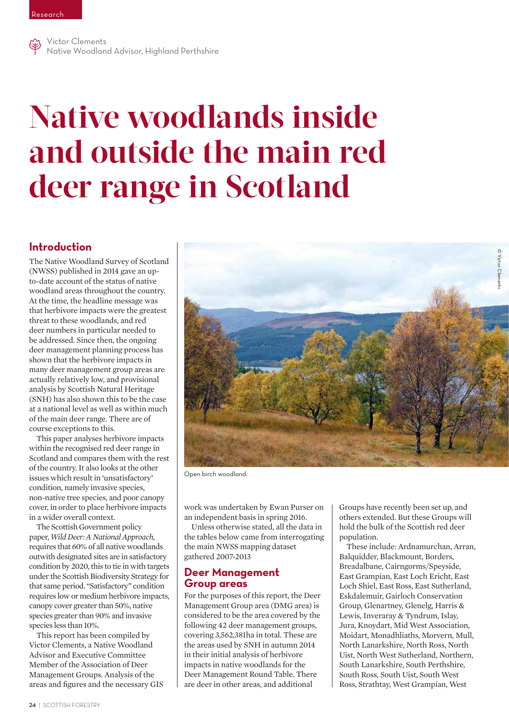

Victor Clements Native Woodland Advisor, Highland Perthshire

# **Native woodlands inside and outside the main red deer range in Scotland**

# **Introduction**

The Native Woodland Survey of Scotland (NWSS) published in 2014 gave an upto-date account of the status of native woodland areas throughout the country. At the time, the headline message was that herbivore impacts were the greatest threat to these woodlands, and red deer numbers in particular needed to be addressed. Since then, the ongoing deer management planning process has shown that the herbivore impacts in many deer management group areas are actually relatively low, and provisional analysis by Scottish Natural Heritage (SNH) has also shown this to be the case at a national level as well as within much of the main deer range. There are of course exceptions to this.

This paper analyses herbivore impacts within the recognised red deer range in Scotland and compares them with the rest of the country. It also looks at the other issues which result in 'unsatisfactory' condition, namely invasive species, non-native tree species, and poor canopy cover, in order to place herbivore impacts in a wider overall context.

The Scottish Government policy paper, *Wild Deer: A National Approach*, requires that 60% of all native woodlands outwith designated sites are in satisfactory condition by 2020, this to tie in with targets under the Scottish Biodiversity Strategy for that same period. "Satisfactory" condition requires low or medium herbivore impacts, canopy cover greater than 50%, native species greater than 90% and invasive species less than 10%.

This report has been compiled by Victor Clements, a Native Woodland Advisor and Executive Committee Member of the Association of Deer Management Groups. Analysis of the areas and figures and the necessary GIS



Open birch woodland.

work was undertaken by Ewan Purser on an independent basis in spring 2016.

Unless otherwise stated, all the data in the tables below came from interrogating the main NWSS mapping dataset gathered 2007-2013

#### **Deer Management Group areas**

For the purposes of this report, the Deer Management Group area (DMG area) is considered to be the area covered by the following 42 deer management groups, covering 3,562,381ha in total. These are the areas used by SNH in autumn 2014 in their initial analysis of herbivore impacts in native woodlands for the Deer Management Round Table. There are deer in other areas, and additional

Groups have recently been set up, and others extended. But these Groups will hold the bulk of the Scottish red deer population.

These include: Ardnamurchan, Arran, Balquidder, Blackmount, Borders, Breadalbane, Cairngorms/Speyside, East Grampian, East Loch Ericht, East Loch Shiel, East Ross, East Sutherland, Eskdalemuir, Gairloch Conservation Group, Glenartney, Glenelg, Harris & Lewis, Inveraray & Tyndrum, Islay, Jura, Knoydart, Mid West Association, Moidart, Monadhliaths, Morvern, Mull, North Lanarkshire, North Ross, North Uist, North West Sutherland, Northern, South Lanarkshire, South Perthshire, South Ross, South Uist, South West Ross, Strathtay, West Grampian, West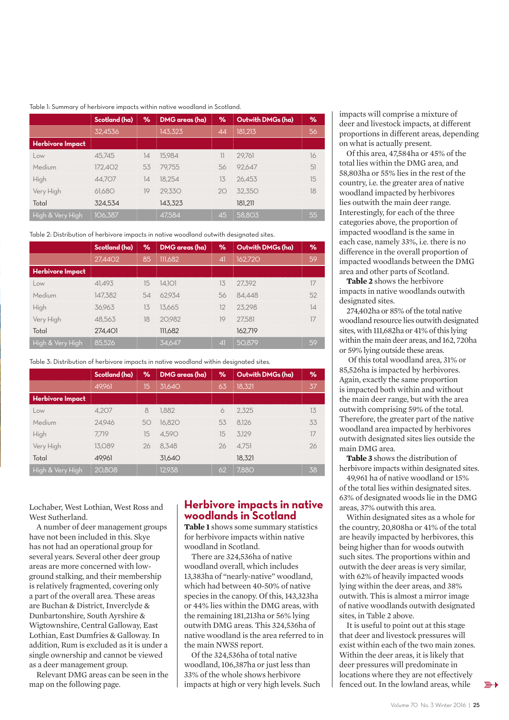#### Table 1: Summary of herbivore impacts within native woodland in Scotland.

|                         | Scotland (ha) | ℅  | DMG areas (ha) | %  | Outwith DMGs (ha) | $\%$ |
|-------------------------|---------------|----|----------------|----|-------------------|------|
|                         | 32,4536       |    | 143,323        | 44 | 181.213           | 56   |
| <b>Herbivore Impact</b> |               |    |                |    |                   |      |
| Low                     | 45.745        | 14 | 15.984         |    | 29.761            | 16   |
| Medium                  | 172.402       | 53 | 79.755         | 56 | 92.647            | 51   |
| High                    | 44.707        | 14 | 18.254         | 13 | 26.453            | 15   |
| Very High               | 61.680        | 19 | 29.330         | 20 | 32.350            | 18   |
| Total                   | 324.534       |    | 143,323        |    | 181.211           |      |
| High & Very High        | 106,387       |    | 47.584         | 45 | 58.803            | 55   |

Table 2: Distribution of herbivore impacts in native woodland outwith designated sites.

|                         | Scotland (ha) | ℅  | DMG areas (ha) | %             | Outwith DMGs (ha) | %  |
|-------------------------|---------------|----|----------------|---------------|-------------------|----|
|                         | 27,4402       | 85 | 111,682        | $\mathcal{A}$ | 162,720           | 59 |
| <b>Herbivore Impact</b> |               |    |                |               |                   |    |
| Low                     | 41.493        | 15 | 14.101         | 13            | 27.392            | 17 |
| Medium                  | 147.382       | 54 | 62.934         | 56            | 84.448            | 52 |
| High                    | 36.963        | 13 | 13.665         | 12            | 23.298            | 14 |
| Very High               | 48.563        | 18 | 20.982         | 19            | 27.581            | 17 |
| Total                   | 274.401       |    | 111,682        |               | 162.719           |    |
| High & Very High        | 85,526        |    | 34.647         | $\mathcal{A}$ | 50.879            | 59 |

Table 3: Distribution of herbivore impacts in native woodland within designated sites.

|                         | Scotland (ha) | ℅  | DMG areas (ha) | %  | Outwith DMGs (ha) | %  |
|-------------------------|---------------|----|----------------|----|-------------------|----|
|                         | 49,961        | 15 | 31.640         | 63 | 18.321            | 37 |
| <b>Herbivore Impact</b> |               |    |                |    |                   |    |
| Low                     | 4.207         | 8  | 1.882          | 6  | 2.325             | 13 |
| Medium                  | 24.946        | 50 | 16.820         | 53 | 8.126             | 33 |
| High                    | 7.719         | 15 | 4.590          | 15 | 3.129             | 17 |
| Very High               | 13.089        | 26 | 8.348          | 26 | 4.751             | 26 |
| Total                   | 49.961        |    | 31,640         |    | 18,321            |    |
| High & Very High        | 20.808        |    | 12.938         | 62 | 7.880             | 38 |

Lochaber, West Lothian, West Ross and West Sutherland.

A number of deer management groups have not been included in this. Skye has not had an operational group for several years. Several other deer group areas are more concerned with lowground stalking, and their membership is relatively fragmented, covering only a part of the overall area. These areas are Buchan & District, Inverclyde & Dunbartonshire, South Ayrshire & Wigtownshire, Central Galloway, East Lothian, East Dumfries & Galloway. In addition, Rum is excluded as it is under a single ownership and cannot be viewed as a deer management group.

Relevant DMG areas can be seen in the map on the following page.

## **Herbivore impacts in native woodlands in Scotland**

**Table 1** shows some summary statistics for herbivore impacts within native woodland in Scotland.

There are 324,536ha of native woodland overall, which includes 13,383ha of "nearly-native" woodland, which had between 40-50% of native species in the canopy. Of this, 143,323ha or 44% lies within the DMG areas, with the remaining 181,213ha or 56% lying outwith DMG areas. This 324,536ha of native woodland is the area referred to in the main NWSS report.

Of the 324,536ha of total native woodland, 106,387ha or just less than 33% of the whole shows herbivore impacts at high or very high levels. Such impacts will comprise a mixture of deer and livestock impacts, at different proportions in different areas, depending on what is actually present.

Of this area, 47,584ha or 45% of the total lies within the DMG area, and 58,803ha or 55% lies in the rest of the country, i.e. the greater area of native woodland impacted by herbivores lies outwith the main deer range. Interestingly, for each of the three categories above, the proportion of impacted woodland is the same in each case, namely 33%, i.e. there is no difference in the overall proportion of impacted woodlands between the DMG area and other parts of Scotland.

**Table 2** shows the herbivore impacts in native woodlands outwith designated sites.

274,402ha or 85% of the total native woodland resource lies outwith designated sites, with 111,682ha or 41% of this lying within the main deer areas, and 162, 720ha or 59% lying outside these areas.

 Of this total woodland area, 31% or 85,526ha is impacted by herbivores. Again, exactly the same proportion is impacted both within and without the main deer range, but with the area outwith comprising 59% of the total. Therefore, the greater part of the native woodland area impacted by herbivores outwith designated sites lies outside the main DMG area.

**Table 3** shows the distribution of herbivore impacts within designated sites.

49,961 ha of native woodland or 15% of the total lies within designated sites. 63% of designated woods lie in the DMG areas, 37% outwith this area.

Within designated sites as a whole for the country, 20,808ha or 41% of the total are heavily impacted by herbivores, this being higher than for woods outwith such sites. The proportions within and outwith the deer areas is very similar, with 62% of heavily impacted woods lying within the deer areas, and 38% outwith. This is almost a mirror image of native woodlands outwith designated sites, in Table 2 above.

It is useful to point out at this stage that deer and livestock pressures will exist within each of the two main zones. Within the deer areas, it is likely that deer pressures will predominate in locations where they are not effectively fenced out. In the lowland areas, while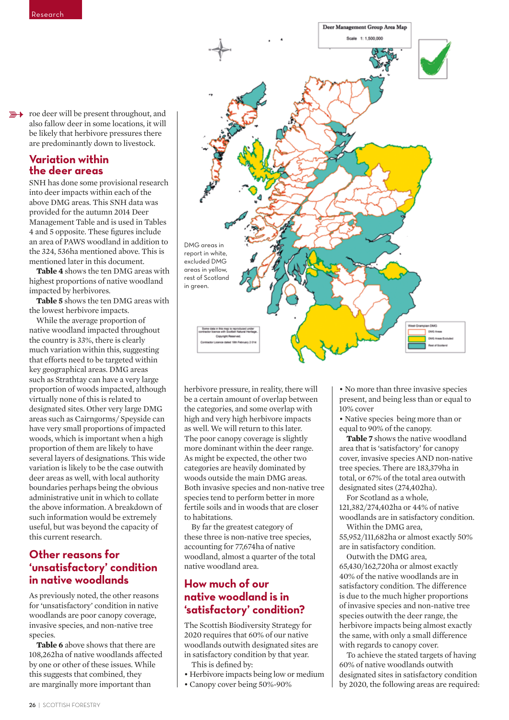**EXECUTE:** The deer will be present throughout, and also fallow deer in some locations, it will be likely that herbivore pressures there are predominantly down to livestock.

## **Variation within the deer areas**

SNH has done some provisional research into deer impacts within each of the above DMG areas. This SNH data was provided for the autumn 2014 Deer Management Table and is used in Tables 4 and 5 opposite. These figures include an area of PAWS woodland in addition to the 324, 536ha mentioned above. This is mentioned later in this document.

**Table 4** shows the ten DMG areas with highest proportions of native woodland impacted by herbivores.

**Table 5** shows the ten DMG areas with the lowest herbivore impacts.

While the average proportion of native woodland impacted throughout the country is 33%, there is clearly much variation within this, suggesting that efforts need to be targeted within key geographical areas. DMG areas such as Strathtay can have a very large proportion of woods impacted, although virtually none of this is related to designated sites. Other very large DMG areas such as Cairngorms/ Speyside can have very small proportions of impacted woods, which is important when a high proportion of them are likely to have several layers of designations. This wide variation is likely to be the case outwith deer areas as well, with local authority boundaries perhaps being the obvious administrative unit in which to collate the above information. A breakdown of such information would be extremely useful, but was beyond the capacity of this current research.

# **Other reasons for 'unsatisfactory' condition in native woodlands**

As previously noted, the other reasons for 'unsatisfactory' condition in native woodlands are poor canopy coverage, invasive species, and non-native tree species.

**Table 6** above shows that there are 108,262ha of native woodlands affected by one or other of these issues. While this suggests that combined, they are marginally more important than



herbivore pressure, in reality, there will be a certain amount of overlap between the categories, and some overlap with high and very high herbivore impacts as well. We will return to this later. The poor canopy coverage is slightly more dominant within the deer range. As might be expected, the other two categories are heavily dominated by woods outside the main DMG areas. Both invasive species and non-native tree species tend to perform better in more fertile soils and in woods that are closer to habitations.

By far the greatest category of these three is non-native tree species, accounting for 77,674ha of native woodland, almost a quarter of the total native woodland area.

# **How much of our native woodland is in 'satisfactory' condition?**

The Scottish Biodiversity Strategy for 2020 requires that 60% of our native woodlands outwith designated sites are in satisfactory condition by that year. This is defined by:

- Herbivore impacts being low or medium
- Canopy cover being 50%-90%

• No more than three invasive species present, and being less than or equal to 10% cover

• Native species being more than or equal to 90% of the canopy.

**Table 7** shows the native woodland area that is 'satisfactory' for canopy cover, invasive species AND non-native tree species. There are 183,379ha in total, or 67% of the total area outwith designated sites (274,402ha).

For Scotland as a whole, 121,382/274,402ha or 44% of native woodlands are in satisfactory condition. Within the DMG area,

55,952/111,682ha or almost exactly 50% are in satisfactory condition.

Outwith the DMG area, 65,430/162,720ha or almost exactly 40% of the native woodlands are in satisfactory condition. The difference is due to the much higher proportions of invasive species and non-native tree species outwith the deer range, the herbivore impacts being almost exactly the same, with only a small difference with regards to canopy cover.

To achieve the stated targets of having 60% of native woodlands outwith designated sites in satisfactory condition by 2020, the following areas are required: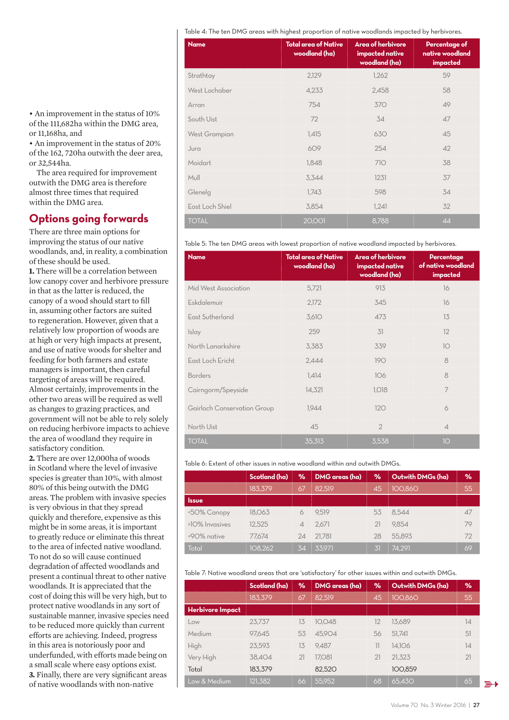Table 4: The ten DMG areas with highest proportion of native woodlands impacted by herbivores.

| <b>Name</b>          | <b>Total area of Native</b><br>woodland (ha) | <b>Area of herbivore</b><br>impacted native<br>woodland (ha) | Percentage of<br>native woodland<br>impacted |
|----------------------|----------------------------------------------|--------------------------------------------------------------|----------------------------------------------|
| Strathtay            | 2,129                                        | 1,262                                                        | 59                                           |
| West Lochaber        | 4,233                                        | 2,458                                                        | 58                                           |
| Arran                | 754                                          | 370                                                          | 49                                           |
| South Uist           | 72                                           | 34                                                           | 47                                           |
| <b>West Grampian</b> | 1,415                                        | 630                                                          | 45                                           |
| Jura                 | 609                                          | 254                                                          | 42                                           |
| Moidart              | 1,848                                        | 710                                                          | 38                                           |
| Mull                 | 3,344                                        | 1231                                                         | 37                                           |
| Glenelg              | 1,743                                        | 598                                                          | 34                                           |
| East Loch Shiel      | 3,854                                        | 1,241                                                        | 32                                           |
| <b>TOTAL</b>         | <b>20,001</b>                                | 8,788                                                        | 44                                           |

Table 5: The ten DMG areas with lowest proportion of native woodland impacted by herbivores.

| <b>Name</b>                 | <b>Total area of Native</b><br>woodland (ha) | Area of herbivore<br>impacted native<br>woodland (ha) | Percentage<br>of native woodland<br>impacted |
|-----------------------------|----------------------------------------------|-------------------------------------------------------|----------------------------------------------|
| Mid West Association        | 5,721                                        | 913                                                   | 16                                           |
| Eskdalemuir                 | 2,172                                        | 345                                                   | 16                                           |
| East Sutherland             | 3,610                                        | 473                                                   | 13                                           |
| Islay                       | 259                                          | 31                                                    | 12                                           |
| North Lanarkshire           | 3,383                                        | 339                                                   | 10                                           |
| East Loch Ericht            | 2,444                                        | 190                                                   | 8                                            |
| <b>Borders</b>              | 1,414                                        | 106                                                   | 8                                            |
| Cairngorm/Speyside          | 14,321                                       | <b>1,018</b>                                          | $\overline{7}$                               |
| Gairloch Conservation Group | 1,944                                        | 120                                                   | 6                                            |
| North Uist                  | 45                                           | $\overline{2}$                                        | $\overline{\mathcal{A}}$                     |
| <b>TOTAL</b>                | 35,313                                       | 3,538                                                 | 10                                           |

Table 6: Extent of other issues in native woodland within and outwith DMGs.

|                | Scotland (ha) | $\%$ | DMG areas (ha) | ℅  | Outwith DMGs (ha) | %  |
|----------------|---------------|------|----------------|----|-------------------|----|
|                | 183.379       | 67   | 82.519         | 45 | 100.860           | 55 |
| Issue          |               |      |                |    |                   |    |
| <50% Canopy    | 18.063        |      | 9.519          | 53 | 8.544             |    |
| >10% Invasives | 12.525        |      | 2.671          |    | 9.854             |    |
| <90% native    | 77.674        |      | 24 21.781      | 28 | 55.893            |    |
| Total          | 108.262       | 34   | 33.971         |    | 74.291            | 69 |

Table 7: Native woodland areas that are 'satisfactory' for other issues within and outwith DMGs.

|                         | Scotland (ha) | ℅  | <b>DMG</b> areas (ha) | %                        | Outwith DMGs (ha) | $\frac{9}{6}$ |
|-------------------------|---------------|----|-----------------------|--------------------------|-------------------|---------------|
|                         | 183,379       | 67 | 82.519                | 45                       | 100,860           | 55            |
| <b>Herbivore Impact</b> |               |    |                       |                          |                   |               |
| Low                     | 23.737        | 13 | 10.048                | 12                       | 13.689            | 14            |
| Medium                  | 97.645        | 53 | 45.904                | 56                       | 51.741            | 51            |
| High                    | 23.593        | 13 | 9.487                 | $\overline{\phantom{a}}$ | 14.106            | 14            |
| Very High               | 38.404        | 21 | 17.081                | 21                       | 21.323            | 21            |
| Total                   | 183.379       |    | 82.520                |                          | 100.859           |               |
| Low & Medium            | 121,382       | 66 | 55,952                | 68                       | 65,430            | 65            |

• An improvement in the status of 10% of the 111,682ha within the DMG area, or 11,168ha, and

• An improvement in the status of 20% of the 162, 720ha outwith the deer area, or 32,544ha.

The area required for improvement outwith the DMG area is therefore almost three times that required within the DMG area.

## **Options going forwards**

There are three main options for improving the status of our native woodlands, and, in reality, a combination of these should be used.

**1.** There will be a correlation between low canopy cover and herbivore pressure in that as the latter is reduced, the canopy of a wood should start to fill in, assuming other factors are suited to regeneration. However, given that a relatively low proportion of woods are at high or very high impacts at present, and use of native woods for shelter and feeding for both farmers and estate managers is important, then careful targeting of areas will be required. Almost certainly, improvements in the other two areas will be required as well as changes to grazing practices, and government will not be able to rely solely on reducing herbivore impacts to achieve the area of woodland they require in satisfactory condition.

**2.** There are over 12,000ha of woods in Scotland where the level of invasive species is greater than 10%, with almost 80% of this being outwith the DMG areas. The problem with invasive species is very obvious in that they spread quickly and therefore, expensive as this might be in some areas, it is important to greatly reduce or eliminate this threat to the area of infected native woodland. To not do so will cause continued degradation of affected woodlands and present a continual threat to other native woodlands. It is appreciated that the cost of doing this will be very high, but to protect native woodlands in any sort of sustainable manner, invasive species need to be reduced more quickly than current efforts are achieving. Indeed, progress in this area is notoriously poor and underfunded, with efforts made being on a small scale where easy options exist. **3.** Finally, there are very significant areas of native woodlands with non-native

 $\mathbb{R}$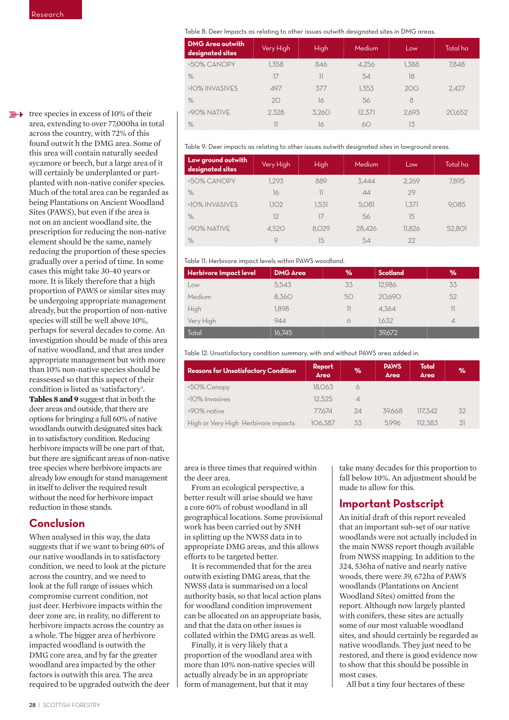$\mathbb{R}$  tree species in excess of 10% of their area, extending to over 77,000ha in total across the country, with 72% of this found outwit h the DMG area. Some of this area will contain naturally seeded sycamore or beech, but a large area of it will certainly be underplanted or partplanted with non-native conifer species. Much of the total area can be regarded as being Plantations on Ancient Woodland Sites (PAWS), but even if the area is not on an ancient woodland site, the prescription for reducing the non-native element should be the same, namely reducing the proportion of these species gradually over a period of time. In some cases this might take 30-40 years or more. It is likely therefore that a high proportion of PAWS or similar sites may be undergoing appropriate management already, but the proportion of non-native species will still be well above 10%, perhaps for several decades to come. An investigation should be made of this area of native woodland, and that area under appropriate management but with more than 10% non-native species should be reassessed so that this aspect of their condition is listed as 'satisfactory'. **Tables 8 and 9** suggest that in both the deer areas and outside, that there are options for bringing a full 60% of native woodlands outwith designated sites back in to satisfactory condition. Reducing herbivore impacts will be one part of that, but there are significant areas of non-native tree species where herbivore impacts are already low enough for stand management in itself to deliver the required result without the need for herbivore impact reduction in those stands.

# **Conclusion**

When analysed in this way, the data suggests that if we want to bring 60% of our native woodlands in to satisfactory condition, we need to look at the picture across the country, and we need to look at the full range of issues which compromise current condition, not just deer. Herbivore impacts within the deer zone are, in reality, no different to herbivore impacts across the country as a whole. The bigger area of herbivore impacted woodland is outwith the DMG core area, and by far the greater woodland area impacted by the other factors is outwith this area. The area required to be upgraded outwith the deer Table 8: Deer Impacts as relating to other issues outwith designated sites in DMG areas.

| <b>DMG Area outwith</b><br>designated sites | Very High | High | <b>Medium</b> | <b>OW</b> | Total ha |
|---------------------------------------------|-----------|------|---------------|-----------|----------|
| <50% CANOPY                                 | .358      |      |               | -388      |          |
| $\%$                                        |           |      |               |           |          |
| >10% INVASIVES                              |           |      |               |           |          |
|                                             |           |      |               |           |          |
| <90% NATIVE                                 |           |      |               |           |          |
|                                             |           |      |               |           |          |

Table 9: Deer impacts as relating to other issues outwith designated sites in lowground areas.

| Low ground outwith<br>designated sites | Very High | <b>High</b> | Medium | Low  | Total ha |
|----------------------------------------|-----------|-------------|--------|------|----------|
| <50% CANOPY                            | .293      |             | 3.444  | 2269 | 895      |
| $\%$                                   | Ić        |             |        |      |          |
| >10% INVASIVES                         | 102       |             | 5.081  |      |          |
| $\%$                                   |           |             | .56    |      |          |
| <90% NATIVE                            |           |             | 28.426 |      |          |
|                                        |           |             |        |      |          |

#### Table 11: Herbivore impact levels within PAWS woodland.

| Herbivore Impact level | <b>DMG</b> Area | Scotland |  |
|------------------------|-----------------|----------|--|
|                        | 5.543           | 2986     |  |
| $\sim$ nium            |                 |          |  |
|                        |                 | .364     |  |
|                        |                 |          |  |
|                        |                 |          |  |

Table 12: Unsatisfactory condition summary, with and without PAWS area added in.

| <b>Reasons for Unsatisfactory Condition</b> | Report<br>Area | 96 | <b>PAWS</b><br><b>Area</b> | Total<br>Area | % |
|---------------------------------------------|----------------|----|----------------------------|---------------|---|
| <50% Canopy                                 | 18.06.3        |    |                            |               |   |
| >10% Invasives                              | 12.525         |    |                            |               |   |
| <90% native                                 | 77.674         |    | 39668                      | 117.342       |   |
| High or Very High Herbivore impacts         |                |    |                            | 1383          |   |

area is three times that required within the deer area.

From an ecological perspective, a better result will arise should we have a core 60% of robust woodland in all geographical locations. Some provisional work has been carried out by SNH in splitting up the NWSS data in to appropriate DMG areas, and this allows efforts to be targeted better.

It is recommended that for the area outwith existing DMG areas, that the NWSS data is summarised on a local authority basis, so that local action plans for woodland condition improvement can be allocated on an appropriate basis, and that the data on other issues is collated within the DMG areas as well.

Finally, it is very likely that a proportion of the woodland area with more than 10% non-native species will actually already be in an appropriate form of management, but that it may

take many decades for this proportion to fall below 10%. An adjustment should be made to allow for this.

# **Important Postscript**

An initial draft of this report revealed that an important sub-set of our native woodlands were not actually included in the main NWSS report though available from NWSS mapping. In addition to the 324, 536ha of native and nearly native woods, there were 39, 672ha of PAWS woodlands (Plantations on Ancient Woodland Sites) omitted from the report. Although now largely planted with conifers, these sites are actually some of our most valuable woodland sites, and should certainly be regarded as native woodlands. They just need to be restored, and there is good evidence now to show that this should be possible in most cases.

All but a tiny four hectares of these